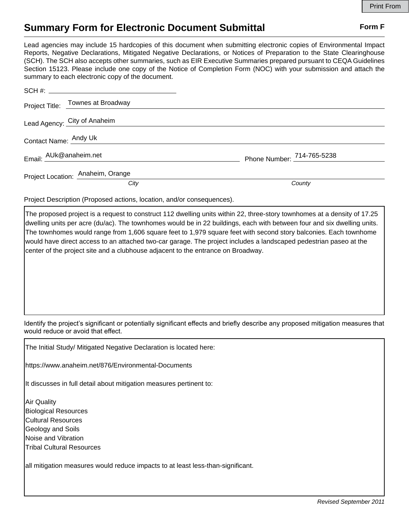## **Summary Form for Electronic Document Submittal Form F Form F**

Lead agencies may include 15 hardcopies of this document when submitting electronic copies of Environmental Impact Reports, Negative Declarations, Mitigated Negative Declarations, or Notices of Preparation to the State Clearinghouse (SCH). The SCH also accepts other summaries, such as EIR Executive Summaries prepared pursuant to CEQA Guidelines Section 15123. Please include one copy of the Notice of Completion Form (NOC) with your submission and attach the summary to each electronic copy of the document.

|                              | SCH #:                            |                            |
|------------------------------|-----------------------------------|----------------------------|
|                              | Project Title: Townes at Broadway |                            |
| Lead Agency: City of Anaheim |                                   |                            |
| Contact Name: Andy Uk        |                                   |                            |
| Email: AUk@anaheim.net       |                                   | Phone Number: 714-765-5238 |
|                              | Project Location: Anaheim, Orange |                            |
|                              | City                              | County                     |

Project Description (Proposed actions, location, and/or consequences).

The proposed project is a request to construct 112 dwelling units within 22, three-story townhomes at a density of 17.25 dwelling units per acre (du/ac). The townhomes would be in 22 buildings, each with between four and six dwelling units. The townhomes would range from 1,606 square feet to 1,979 square feet with second story balconies. Each townhome would have direct access to an attached two-car garage. The project includes a landscaped pedestrian paseo at the center of the project site and a clubhouse adjacent to the entrance on Broadway.

Identify the project's significant or potentially significant effects and briefly describe any proposed mitigation measures that would reduce or avoid that effect.

The Initial Study/ Mitigated Negative Declaration is located here:

https://www.anaheim.net/876/Environmental-Documents

It discusses in full detail about mitigation measures pertinent to:

Air Quality Biological Resources Cultural Resources Geology and Soils Noise and Vibration Tribal Cultural Resources

all mitigation measures would reduce impacts to at least less-than-significant.